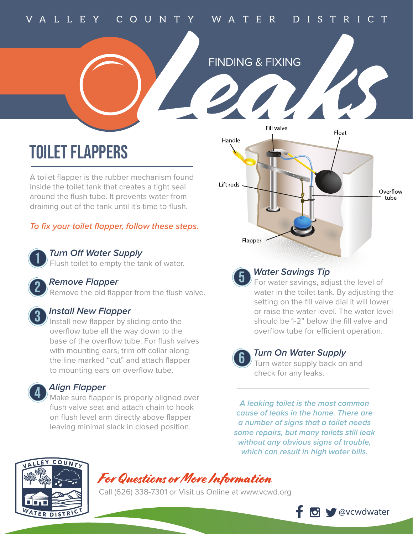## VA L L E Y C O U N T Y WA T E R D I S T R I C T



# TOILET FLAPPERS

A toilet flapper is the rubber mechanism found inside the toilet tank that creates a tight seal around the flush tube. It prevents water from draining out of the tank until it's time to flush.

### *To fix your toilet flapper, follow these steps.*



### **Turn Off Water Supply**

Flush toilet to empty the tank of water.

### **Remove Flapper**

Remove the old flapper from the flush valve.

### **Install New Flapper**

Install new flapper by sliding onto the overflow tube all the way down to the base of the overflow tube. For flush valves with mounting ears, trim off collar along the line marked "cut" and attach flapper to mounting ears on overflow tube.

### *Align Flapper* 4

 $\mu$  Make sure flapper is properly aligned over flush valve seat and attach chain to hook on flush level arm directly above flapper leaving minimal slack in closed position.





### **Water Savings Tip**

For water savings, adjust the level of water in the toilet tank. By adjusting the setting on the fill valve dial it will lower or raise the water level. The water level should be 1-2" below the fill valve and overflow tube for efficient operation.

### **Turn On Water Supply**

Turn water supply back on and check for any leaks.

*A leaking toilet is the most common cause of leaks in the home. There are a number of signs that a toilet needs some repairs, but many toilets still leak without any obvious signs of trouble, which can result in high water bills.*



## For Questions or More Information

Call (626) 338-7301 or Visit us Online at www.vcwd.org